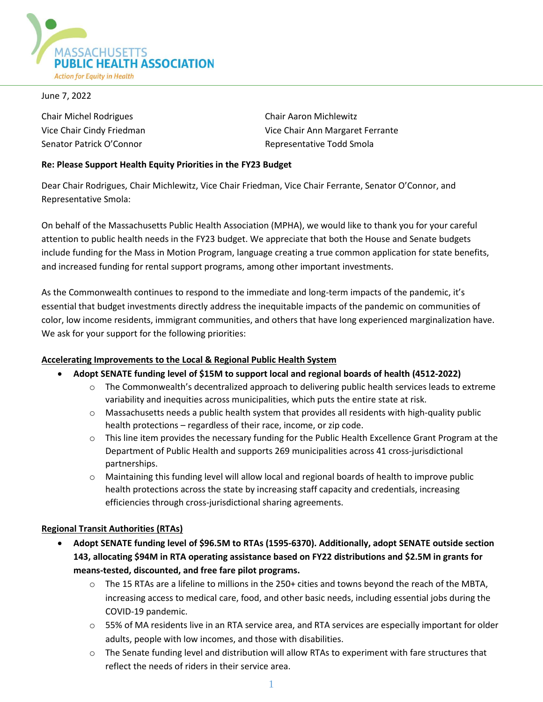

June 7, 2022

Chair Michel Rodrigues Chair Aaron Michlewitz

Vice Chair Cindy Friedman Vice Chair Ann Margaret Ferrante Senator Patrick O'Connor **Representative Todd Smola** 

### **Re: Please Support Health Equity Priorities in the FY23 Budget**

Dear Chair Rodrigues, Chair Michlewitz, Vice Chair Friedman, Vice Chair Ferrante, Senator O'Connor, and Representative Smola:

On behalf of the Massachusetts Public Health Association (MPHA), we would like to thank you for your careful attention to public health needs in the FY23 budget. We appreciate that both the House and Senate budgets include funding for the Mass in Motion Program, language creating a true common application for state benefits, and increased funding for rental support programs, among other important investments.

As the Commonwealth continues to respond to the immediate and long-term impacts of the pandemic, it's essential that budget investments directly address the inequitable impacts of the pandemic on communities of color, low income residents, immigrant communities, and others that have long experienced marginalization have. We ask for your support for the following priorities:

# **Accelerating Improvements to the Local & Regional Public Health System**

- **Adopt SENATE funding level of \$15M to support local and regional boards of health (4512-2022)**
	- $\circ$  The Commonwealth's decentralized approach to delivering public health services leads to extreme variability and inequities across municipalities, which puts the entire state at risk.
	- o Massachusetts needs a public health system that provides all residents with high-quality public health protections – regardless of their race, income, or zip code.
	- o This line item provides the necessary funding for the Public Health Excellence Grant Program at the Department of Public Health and supports 269 municipalities across 41 cross-jurisdictional partnerships.
	- $\circ$  Maintaining this funding level will allow local and regional boards of health to improve public health protections across the state by increasing staff capacity and credentials, increasing efficiencies through cross-jurisdictional sharing agreements.

# **Regional Transit Authorities (RTAs)**

- **Adopt SENATE funding level of \$96.5M to RTAs (1595-6370). Additionally, adopt SENATE outside section 143, allocating \$94M in RTA operating assistance based on FY22 distributions and \$2.5M in grants for means-tested, discounted, and free fare pilot programs.**
	- $\circ$  The 15 RTAs are a lifeline to millions in the 250+ cities and towns beyond the reach of the MBTA, increasing access to medical care, food, and other basic needs, including essential jobs during the COVID-19 pandemic.
	- o 55% of MA residents live in an RTA service area, and RTA services are especially important for older adults, people with low incomes, and those with disabilities.
	- o The Senate funding level and distribution will allow RTAs to experiment with fare structures that reflect the needs of riders in their service area.